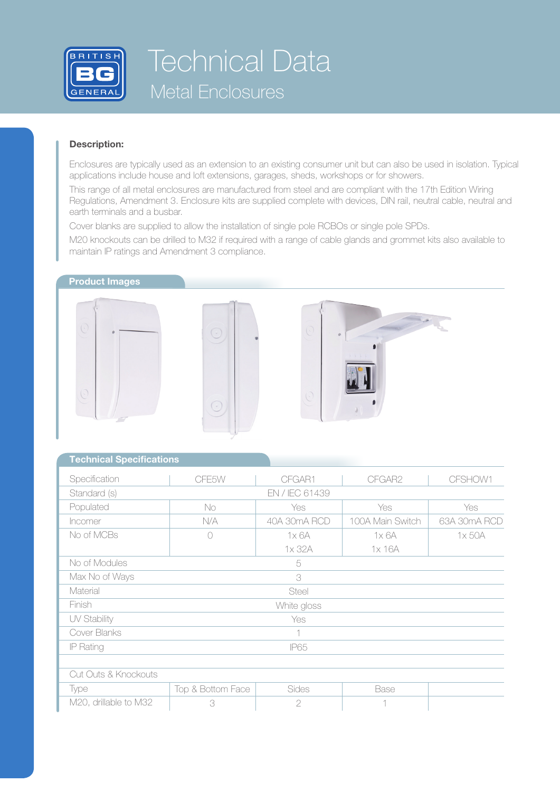

# Technical Data Metal Enclosures

#### **Description:**

Enclosures are typically used as an extension to an existing consumer unit but can also be used in isolation. Typical applications include house and loft extensions, garages, sheds, workshops or for showers.

This range of all metal enclosures are manufactured from steel and are compliant with the 17th Edition Wiring Regulations, Amendment 3. Enclosure kits are supplied complete with devices, DIN rail, neutral cable, neutral and earth terminals and a busbar.

Cover blanks are supplied to allow the installation of single pole RCBOs or single pole SPDs.

M20 knockouts can be drilled to M32 if required with a range of cable glands and grommet kits also available to maintain IP ratings and Amendment 3 compliance.

### **Product Images**







### **Technical Specifications**

| Specification         | CFE5W             | CFGAR1         | CFGAR2           | CFSHOW1      |  |  |  |  |
|-----------------------|-------------------|----------------|------------------|--------------|--|--|--|--|
|                       |                   | EN / IEC 61439 |                  |              |  |  |  |  |
| Standard (s)          |                   |                |                  |              |  |  |  |  |
| Populated             | No                | Yes            | Yes              | Yes          |  |  |  |  |
| Incomer               | N/A               | 40A 30mA RCD   | 100A Main Switch | 63A 30mA RCD |  |  |  |  |
| No of MCBs            | n                 | 1x6A           | 1x6A             | 1x 50A       |  |  |  |  |
|                       |                   | 1x 32A         | 1x 16A           |              |  |  |  |  |
| No of Modules<br>5    |                   |                |                  |              |  |  |  |  |
| Max No of Ways<br>3   |                   |                |                  |              |  |  |  |  |
| Material              | Steel             |                |                  |              |  |  |  |  |
| Finish                | White gloss       |                |                  |              |  |  |  |  |
| UV Stability          | Yes               |                |                  |              |  |  |  |  |
| Cover Blanks          | 1                 |                |                  |              |  |  |  |  |
| IP Rating             | <b>IP65</b>       |                |                  |              |  |  |  |  |
|                       |                   |                |                  |              |  |  |  |  |
| Cut Outs & Knockouts  |                   |                |                  |              |  |  |  |  |
| Type                  | Top & Bottom Face | Sides          | Base             |              |  |  |  |  |
| M20, drillable to M32 | 3                 | $\mathbf{2}$   | $\overline{1}$   |              |  |  |  |  |